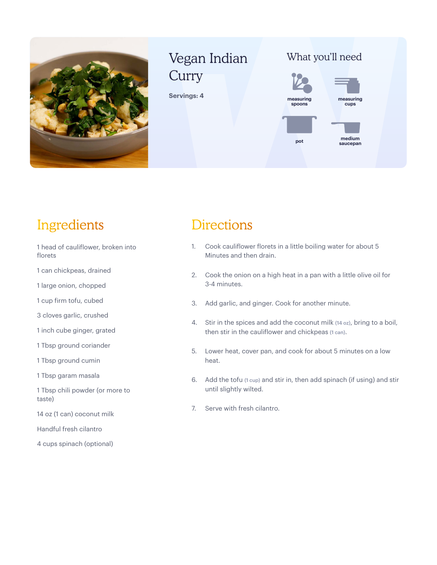

# Vegan Indian **Curry**

**Servings: 4**



**cups spoons medium pot nedium**<br>saucepan

### Ingredients

- 1 head of cauliflower, broken into florets
- 1 can chickpeas, drained
- 1 large onion, chopped
- 1 cup firm tofu, cubed
- 3 cloves garlic, crushed
- 1 inch cube ginger, grated
- 1 Tbsp ground coriander
- 1 Tbsp ground cumin
- 1 Tbsp garam masala
- 1 Tbsp chili powder (or more to taste)
- 14 oz (1 can) coconut milk
- Handful fresh cilantro
- 4 cups spinach (optional)

#### **Directions**

- 1. Cook cauliflower florets in a little boiling water for about 5 Minutes and then drain.
- 2. Cook the onion on a high heat in a pan with a little olive oil for 3-4 minutes.
- 3. Add garlic, and ginger. Cook for another minute.
- 4. Stir in the spices and add the coconut milk (14 oz), bring to a boil, then stir in the cauliflower and chickpeas (1 can).
- 5. Lower heat, cover pan, and cook for about 5 minutes on a low heat.
- 6. Add the tofu (1 cup) and stir in, then add spinach (if using) and stir until slightly wilted.
- 7. Serve with fresh cilantro.